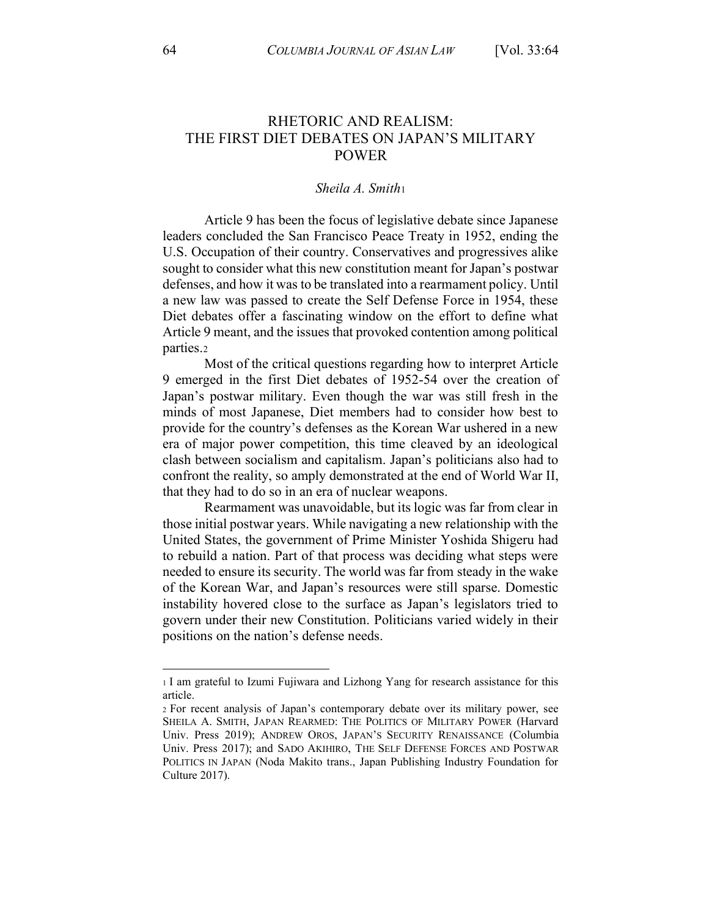# RHETORIC AND REALISM: THE FIRST DIET DEBATES ON JAPAN'S MILITARY POWER

### *Sheila A. Smith*<sup>1</sup>

Article 9 has been the focus of legislative debate since Japanese leaders concluded the San Francisco Peace Treaty in 1952, ending the U.S. Occupation of their country. Conservatives and progressives alike sought to consider what this new constitution meant for Japan's postwar defenses, and how it was to be translated into a rearmament policy. Until a new law was passed to create the Self Defense Force in 1954, these Diet debates offer a fascinating window on the effort to define what Article 9 meant, and the issues that provoked contention among political parties.2

Most of the critical questions regarding how to interpret Article 9 emerged in the first Diet debates of 1952-54 over the creation of Japan's postwar military. Even though the war was still fresh in the minds of most Japanese, Diet members had to consider how best to provide for the country's defenses as the Korean War ushered in a new era of major power competition, this time cleaved by an ideological clash between socialism and capitalism. Japan's politicians also had to confront the reality, so amply demonstrated at the end of World War II, that they had to do so in an era of nuclear weapons.

Rearmament was unavoidable, but its logic was far from clear in those initial postwar years. While navigating a new relationship with the United States, the government of Prime Minister Yoshida Shigeru had to rebuild a nation. Part of that process was deciding what steps were needed to ensure its security. The world was far from steady in the wake of the Korean War, and Japan's resources were still sparse. Domestic instability hovered close to the surface as Japan's legislators tried to govern under their new Constitution. Politicians varied widely in their positions on the nation's defense needs.

<sup>1</sup> I am grateful to Izumi Fujiwara and Lizhong Yang for research assistance for this article.

<sup>2</sup> For recent analysis of Japan's contemporary debate over its military power, see SHEILA A. SMITH, JAPAN REARMED: THE POLITICS OF MILITARY POWER (Harvard Univ. Press 2019); ANDREW OROS, JAPAN'S SECURITY RENAISSANCE (Columbia Univ. Press 2017); and SADO AKIHIRO, THE SELF DEFENSE FORCES AND POSTWAR POLITICS IN JAPAN (Noda Makito trans., Japan Publishing Industry Foundation for Culture 2017).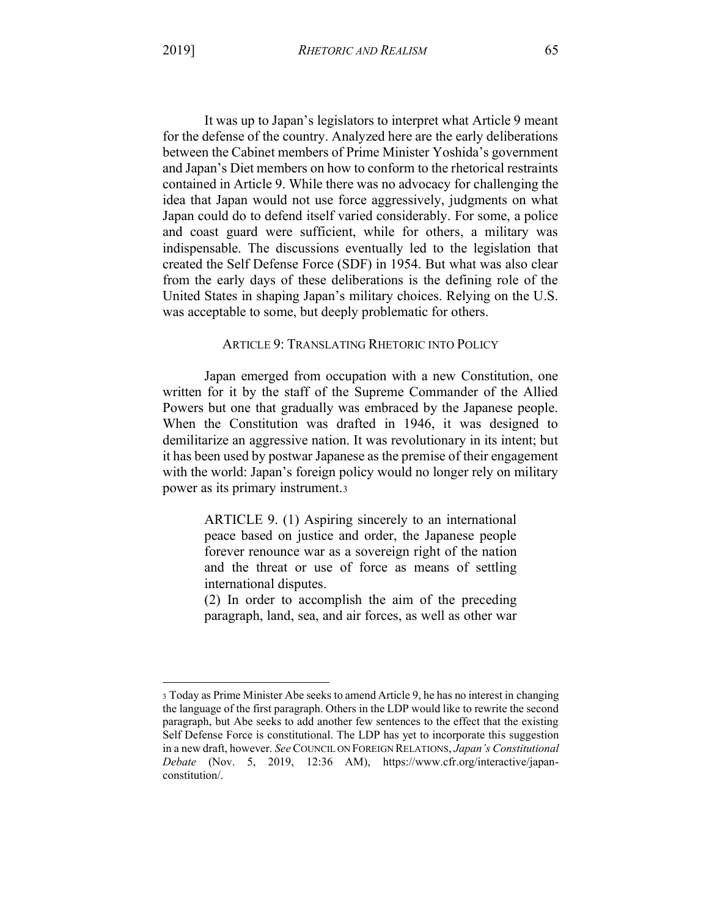It was up to Japan's legislators to interpret what Article 9 meant for the defense of the country. Analyzed here are the early deliberations between the Cabinet members of Prime Minister Yoshida's government and Japan's Diet members on how to conform to the rhetorical restraints contained in Article 9. While there was no advocacy for challenging the idea that Japan would not use force aggressively, judgments on what Japan could do to defend itself varied considerably. For some, a police and coast guard were sufficient, while for others, a military was indispensable. The discussions eventually led to the legislation that created the Self Defense Force (SDF) in 1954. But what was also clear from the early days of these deliberations is the defining role of the United States in shaping Japan's military choices. Relying on the U.S. was acceptable to some, but deeply problematic for others.

# ARTICLE 9: TRANSLATING RHETORIC INTO POLICY

Japan emerged from occupation with a new Constitution, one written for it by the staff of the Supreme Commander of the Allied Powers but one that gradually was embraced by the Japanese people. When the Constitution was drafted in 1946, it was designed to demilitarize an aggressive nation. It was revolutionary in its intent; but it has been used by postwar Japanese as the premise of their engagement with the world: Japan's foreign policy would no longer rely on military power as its primary instrument.3

ARTICLE 9. (1) Aspiring sincerely to an international peace based on justice and order, the Japanese people forever renounce war as a sovereign right of the nation and the threat or use of force as means of settling international disputes.

(2) In order to accomplish the aim of the preceding paragraph, land, sea, and air forces, as well as other war

<sup>3</sup> Today as Prime Minister Abe seeks to amend Article 9, he has no interest in changing the language of the first paragraph. Others in the LDP would like to rewrite the second paragraph, but Abe seeks to add another few sentences to the effect that the existing Self Defense Force is constitutional. The LDP has yet to incorporate this suggestion in a new draft, however. *See* COUNCIL ON FOREIGN RELATIONS, *Japan's Constitutional Debate* (Nov. 5, 2019, 12:36 AM), https://www.cfr.org/interactive/japanconstitution/.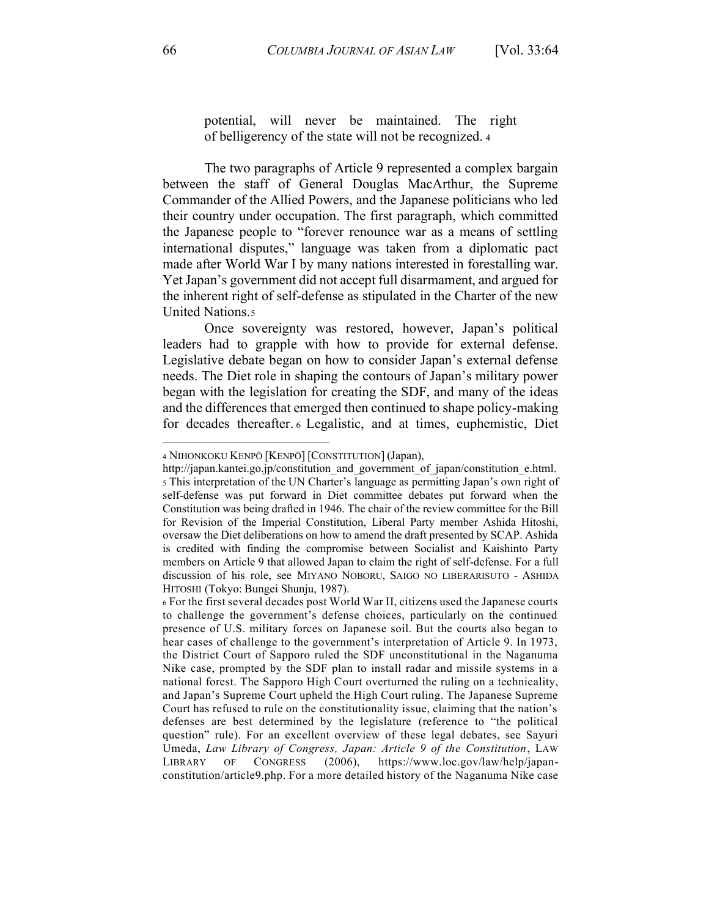potential, will never be maintained. The right of belligerency of the state will not be recognized. <sup>4</sup>

The two paragraphs of Article 9 represented a complex bargain between the staff of General Douglas MacArthur, the Supreme Commander of the Allied Powers, and the Japanese politicians who led their country under occupation. The first paragraph, which committed the Japanese people to "forever renounce war as a means of settling international disputes," language was taken from a diplomatic pact made after World War I by many nations interested in forestalling war. Yet Japan's government did not accept full disarmament, and argued for the inherent right of self-defense as stipulated in the Charter of the new United Nations.5

Once sovereignty was restored, however, Japan's political leaders had to grapple with how to provide for external defense. Legislative debate began on how to consider Japan's external defense needs. The Diet role in shaping the contours of Japan's military power began with the legislation for creating the SDF, and many of the ideas and the differences that emerged then continued to shape policy-making for decades thereafter. <sup>6</sup> Legalistic, and at times, euphemistic, Diet

<sup>4</sup> NIHONKOKU KENPŌ [KENPŌ] [CONSTITUTION] (Japan),

http://japan.kantei.go.jp/constitution and government of japan/constitution e.html. 5 This interpretation of the UN Charter's language as permitting Japan's own right of self-defense was put forward in Diet committee debates put forward when the Constitution was being drafted in 1946. The chair of the review committee for the Bill for Revision of the Imperial Constitution, Liberal Party member Ashida Hitoshi, oversaw the Diet deliberations on how to amend the draft presented by SCAP. Ashida is credited with finding the compromise between Socialist and Kaishinto Party members on Article 9 that allowed Japan to claim the right of self-defense. For a full discussion of his role, see MIYANO NOBORU, SAIGO NO LIBERARISUTO - ASHIDA HITOSHI (Tokyo: Bungei Shunju, 1987).

<sup>6</sup> For the first several decades post World War II, citizens used the Japanese courts to challenge the government's defense choices, particularly on the continued presence of U.S. military forces on Japanese soil. But the courts also began to hear cases of challenge to the government's interpretation of Article 9. In 1973, the District Court of Sapporo ruled the SDF unconstitutional in the Naganuma Nike case, prompted by the SDF plan to install radar and missile systems in a national forest. The Sapporo High Court overturned the ruling on a technicality, and Japan's Supreme Court upheld the High Court ruling. The Japanese Supreme Court has refused to rule on the constitutionality issue, claiming that the nation's defenses are best determined by the legislature (reference to "the political question" rule). For an excellent overview of these legal debates, see Sayuri Umeda, *Law Library of Congress, Japan: Article 9 of the Constitution*, LAW LIBRARY OF CONGRESS (2006), https://www.loc.gov/law/help/japanconstitution/article9.php. For a more detailed history of the Naganuma Nike case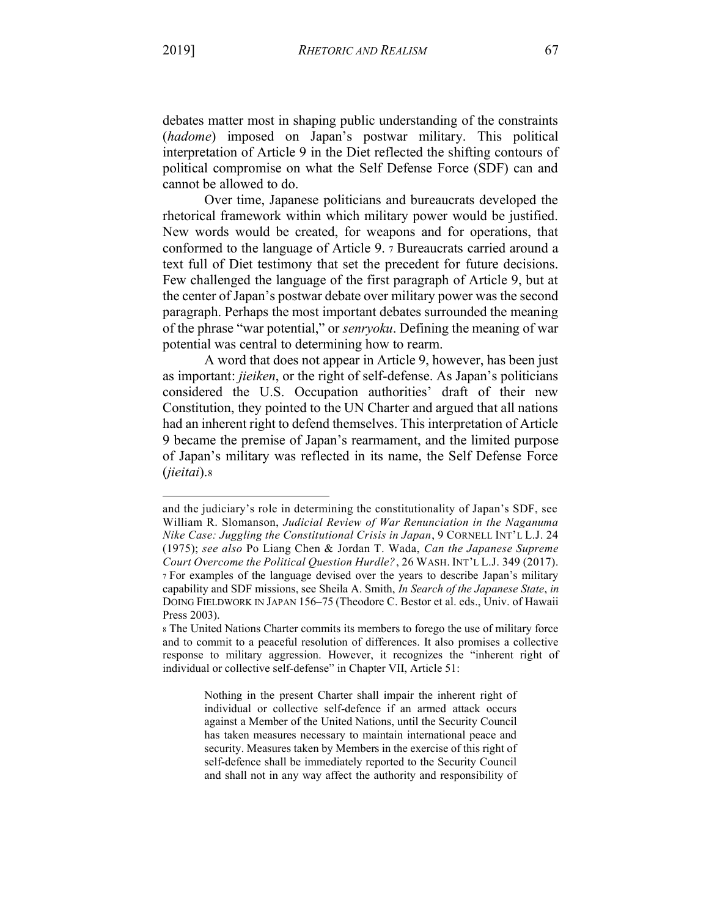debates matter most in shaping public understanding of the constraints (*hadome*) imposed on Japan's postwar military. This political interpretation of Article 9 in the Diet reflected the shifting contours of political compromise on what the Self Defense Force (SDF) can and cannot be allowed to do.

Over time, Japanese politicians and bureaucrats developed the rhetorical framework within which military power would be justified. New words would be created, for weapons and for operations, that conformed to the language of Article 9. 7 Bureaucrats carried around a text full of Diet testimony that set the precedent for future decisions. Few challenged the language of the first paragraph of Article 9, but at the center of Japan's postwar debate over military power was the second paragraph. Perhaps the most important debates surrounded the meaning of the phrase "war potential," or *senryoku*. Defining the meaning of war potential was central to determining how to rearm.

A word that does not appear in Article 9, however, has been just as important: *jieiken*, or the right of self-defense. As Japan's politicians considered the U.S. Occupation authorities' draft of their new Constitution, they pointed to the UN Charter and argued that all nations had an inherent right to defend themselves. This interpretation of Article 9 became the premise of Japan's rearmament, and the limited purpose of Japan's military was reflected in its name, the Self Defense Force (*jieitai*).8

and the judiciary's role in determining the constitutionality of Japan's SDF, see William R. Slomanson, *Judicial Review of War Renunciation in the Naganuma Nike Case: Juggling the Constitutional Crisis in Japan*, 9 CORNELL INT'L L.J. 24 (1975); *see also* Po Liang Chen & Jordan T. Wada, *Can the Japanese Supreme Court Overcome the Political Question Hurdle?*, 26 WASH. INT'L L.J. 349 (2017). 7 For examples of the language devised over the years to describe Japan's military capability and SDF missions, see Sheila A. Smith, *In Search of the Japanese State*, *in* DOING FIELDWORK IN JAPAN 156-75 (Theodore C. Bestor et al. eds., Univ. of Hawaii Press 2003).

<sup>8</sup> The United Nations Charter commits its members to forego the use of military force and to commit to a peaceful resolution of differences. It also promises a collective response to military aggression. However, it recognizes the "inherent right of individual or collective self-defense" in Chapter VII, Article 51:

Nothing in the present Charter shall impair the inherent right of individual or collective self-defence if an armed attack occurs against a Member of the United Nations, until the Security Council has taken measures necessary to maintain international peace and security. Measures taken by Members in the exercise of this right of self-defence shall be immediately reported to the Security Council and shall not in any way affect the authority and responsibility of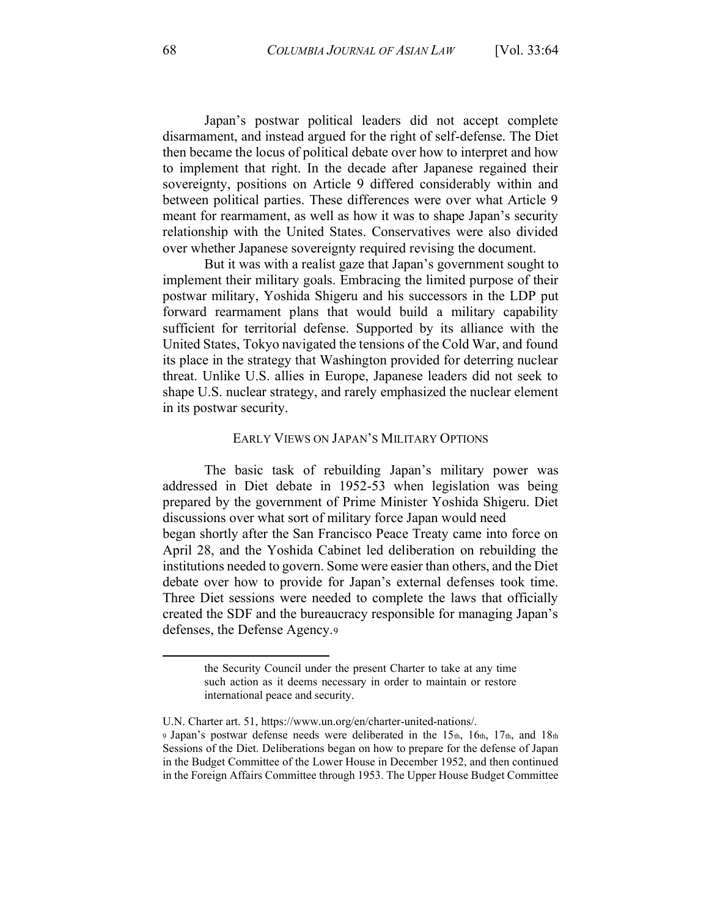Japan's postwar political leaders did not accept complete disarmament, and instead argued for the right of self-defense. The Diet then became the locus of political debate over how to interpret and how to implement that right. In the decade after Japanese regained their sovereignty, positions on Article 9 differed considerably within and between political parties. These differences were over what Article 9 meant for rearmament, as well as how it was to shape Japan's security relationship with the United States. Conservatives were also divided over whether Japanese sovereignty required revising the document.

But it was with a realist gaze that Japan's government sought to implement their military goals. Embracing the limited purpose of their postwar military, Yoshida Shigeru and his successors in the LDP put forward rearmament plans that would build a military capability sufficient for territorial defense. Supported by its alliance with the United States, Tokyo navigated the tensions of the Cold War, and found its place in the strategy that Washington provided for deterring nuclear threat. Unlike U.S. allies in Europe, Japanese leaders did not seek to shape U.S. nuclear strategy, and rarely emphasized the nuclear element in its postwar security.

#### EARLY VIEWS ON JAPAN'S MILITARY OPTIONS

The basic task of rebuilding Japan's military power was addressed in Diet debate in 1952-53 when legislation was being prepared by the government of Prime Minister Yoshida Shigeru. Diet discussions over what sort of military force Japan would need began shortly after the San Francisco Peace Treaty came into force on April 28, and the Yoshida Cabinet led deliberation on rebuilding the institutions needed to govern. Some were easier than others, and the Diet debate over how to provide for Japan's external defenses took time. Three Diet sessions were needed to complete the laws that officially created the SDF and the bureaucracy responsible for managing Japan's defenses, the Defense Agency.9

the Security Council under the present Charter to take at any time such action as it deems necessary in order to maintain or restore international peace and security.

U.N. Charter art. 51, https://www.un.org/en/charter-united-nations/. 9 Japan's postwar defense needs were deliberated in the 15th, 16th, 17th, and 18th

Sessions of the Diet. Deliberations began on how to prepare for the defense of Japan in the Budget Committee of the Lower House in December 1952, and then continued in the Foreign Affairs Committee through 1953. The Upper House Budget Committee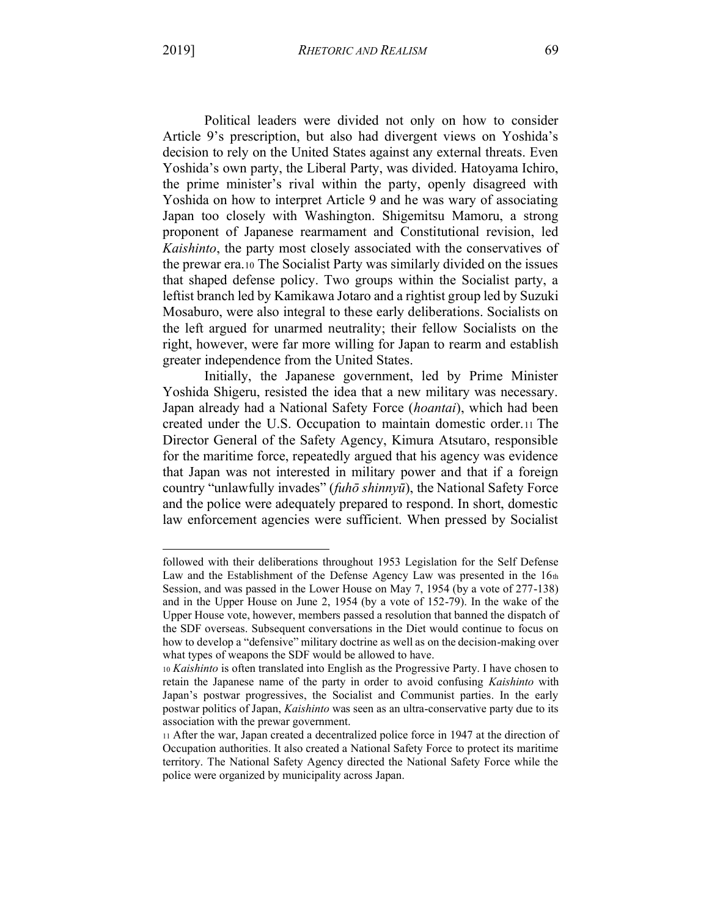Political leaders were divided not only on how to consider Article 9's prescription, but also had divergent views on Yoshida's decision to rely on the United States against any external threats. Even Yoshida's own party, the Liberal Party, was divided. Hatoyama Ichiro, the prime minister's rival within the party, openly disagreed with Yoshida on how to interpret Article 9 and he was wary of associating Japan too closely with Washington. Shigemitsu Mamoru, a strong proponent of Japanese rearmament and Constitutional revision, led *Kaishinto*, the party most closely associated with the conservatives of the prewar era.10 The Socialist Party was similarly divided on the issues that shaped defense policy. Two groups within the Socialist party, a leftist branch led by Kamikawa Jotaro and a rightist group led by Suzuki Mosaburo, were also integral to these early deliberations. Socialists on the left argued for unarmed neutrality; their fellow Socialists on the right, however, were far more willing for Japan to rearm and establish greater independence from the United States.

Initially, the Japanese government, led by Prime Minister Yoshida Shigeru, resisted the idea that a new military was necessary. Japan already had a National Safety Force (*hoantai*), which had been created under the U.S. Occupation to maintain domestic order.11 The Director General of the Safety Agency, Kimura Atsutaro, responsible for the maritime force, repeatedly argued that his agency was evidence that Japan was not interested in military power and that if a foreign country "unlawfully invades" (*fuhō shinnyū*), the National Safety Force and the police were adequately prepared to respond. In short, domestic law enforcement agencies were sufficient. When pressed by Socialist

followed with their deliberations throughout 1953 Legislation for the Self Defense Law and the Establishment of the Defense Agency Law was presented in the  $16<sub>th</sub>$ Session, and was passed in the Lower House on May 7, 1954 (by a vote of 277-138) and in the Upper House on June 2, 1954 (by a vote of 152-79). In the wake of the Upper House vote, however, members passed a resolution that banned the dispatch of the SDF overseas. Subsequent conversations in the Diet would continue to focus on how to develop a "defensive" military doctrine as well as on the decision-making over what types of weapons the SDF would be allowed to have.

<sup>10</sup> *Kaishinto* is often translated into English as the Progressive Party. I have chosen to retain the Japanese name of the party in order to avoid confusing *Kaishinto* with Japan's postwar progressives, the Socialist and Communist parties. In the early postwar politics of Japan, *Kaishinto* was seen as an ultra-conservative party due to its association with the prewar government.

<sup>11</sup> After the war, Japan created a decentralized police force in 1947 at the direction of Occupation authorities. It also created a National Safety Force to protect its maritime territory. The National Safety Agency directed the National Safety Force while the police were organized by municipality across Japan.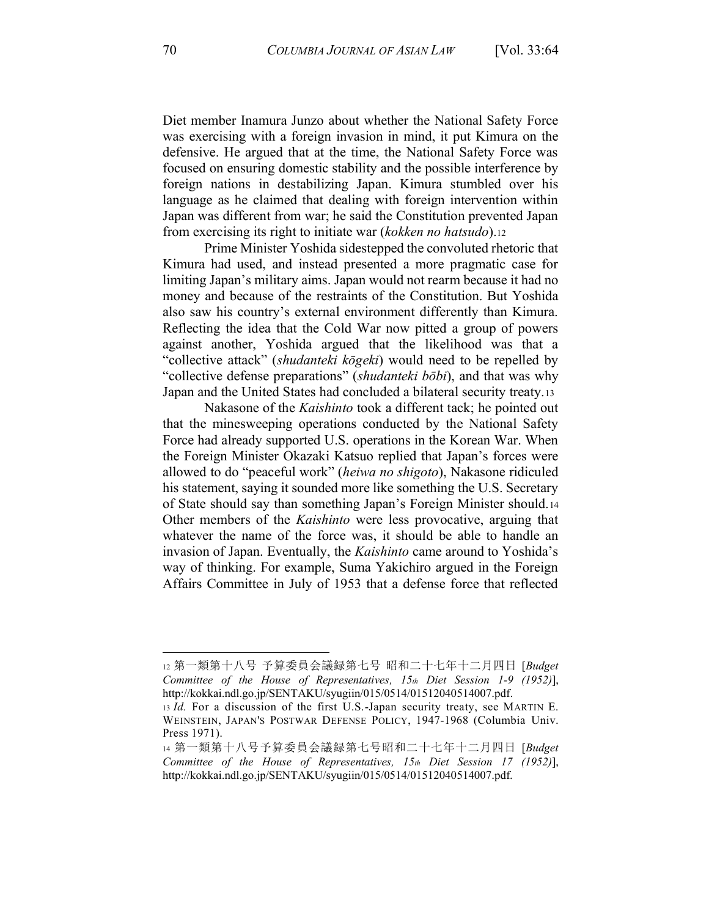Diet member Inamura Junzo about whether the National Safety Force was exercising with a foreign invasion in mind, it put Kimura on the defensive. He argued that at the time, the National Safety Force was focused on ensuring domestic stability and the possible interference by foreign nations in destabilizing Japan. Kimura stumbled over his language as he claimed that dealing with foreign intervention within Japan was different from war; he said the Constitution prevented Japan from exercising its right to initiate war (*kokken no hatsudo*).12

Prime Minister Yoshida sidestepped the convoluted rhetoric that Kimura had used, and instead presented a more pragmatic case for limiting Japan's military aims. Japan would not rearm because it had no money and because of the restraints of the Constitution. But Yoshida also saw his country's external environment differently than Kimura. Reflecting the idea that the Cold War now pitted a group of powers against another, Yoshida argued that the likelihood was that a "collective attack" *(shudanteki kōgeki)* would need to be repelled by "collective defense preparations" (*shudanteki bōbi*), and that was why Japan and the United States had concluded a bilateral security treaty.13

Nakasone of the *Kaishinto* took a different tack; he pointed out that the minesweeping operations conducted by the National Safety Force had already supported U.S. operations in the Korean War. When the Foreign Minister Okazaki Katsuo replied that Japan's forces were allowed to do "peaceful work" (heiwa no shigoto), Nakasone ridiculed his statement, saying it sounded more like something the U.S. Secretary of State should say than something Japan's Foreign Minister should.14 Other members of the *Kaishinto* were less provocative, arguing that whatever the name of the force was, it should be able to handle an invasion of Japan. Eventually, the *Kaishinto* came around to Yoshida's way of thinking. For example, Suma Yakichiro argued in the Foreign Affairs Committee in July of 1953 that a defense force that reflected

<sup>12</sup> 第一類第十八号 予算委員会議録第七号 昭和二十七年十二月四日 [Budget *Committee of the House of Representatives, 15th Diet Session 1-9 (1952)*], http://kokkai.ndl.go.jp/SENTAKU/syugiin/015/0514/01512040514007.pdf.

<sup>13</sup> *Id.* For a discussion of the first U.S.-Japan security treaty, see MARTIN E. WEINSTEIN, JAPAN'S POSTWAR DEFENSE POLICY, 1947-1968 (Columbia Univ. Press 1971).

<sup>14</sup> 第一類第十八号予算委員会議録第七号昭和二十七年十二月四日 [Budget *Committee of the House of Representatives, 15th Diet Session 17 (1952)*], http://kokkai.ndl.go.jp/SENTAKU/syugiin/015/0514/01512040514007.pdf.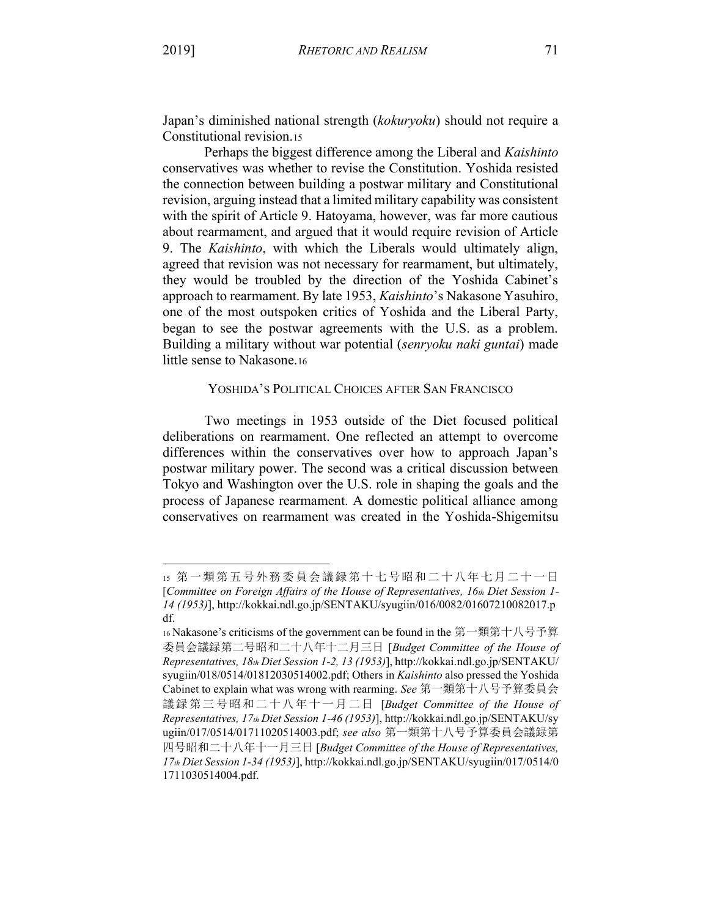Japan's diminished national strength (*kokuryoku*) should not require a

Constitutional revision.15 Perhaps the biggest difference among the Liberal and *Kaishinto* conservatives was whether to revise the Constitution. Yoshida resisted the connection between building a postwar military and Constitutional revision, arguing instead that a limited military capability was consistent with the spirit of Article 9. Hatoyama, however, was far more cautious about rearmament, and argued that it would require revision of Article 9. The *Kaishinto*, with which the Liberals would ultimately align, agreed that revision was not necessary for rearmament, but ultimately, they would be troubled by the direction of the Yoshida Cabinet's approach to rearmament. By late 1953, *Kaishinto*'s Nakasone Yasuhiro, one of the most outspoken critics of Yoshida and the Liberal Party, began to see the postwar agreements with the U.S. as a problem. Building a military without war potential (*senryoku naki guntai*) made little sense to Nakasone.16

# YOSHIDA'S POLITICAL CHOICES AFTER SAN FRANCISCO

Two meetings in 1953 outside of the Diet focused political deliberations on rearmament. One reflected an attempt to overcome differences within the conservatives over how to approach Japan's postwar military power. The second was a critical discussion between Tokyo and Washington over the U.S. role in shaping the goals and the process of Japanese rearmament. A domestic political alliance among conservatives on rearmament was created in the Yoshida-Shigemitsu

<sup>15</sup> 第一類第五号外務委員会議録第十七号昭和二十八年七月二十一日 [*Committee on Foreign Affairs of the House of Representatives, 16th Diet Session 1- 14 (1953)*], http://kokkai.ndl.go.jp/SENTAKU/syugiin/016/0082/01607210082017.p df.

<sup>16</sup> Nakasone's criticisms of the government can be found in the 第一類第十八号予算 委員会䆠䥢ㅜ二号ᱝ和二十八年十二ᴸ三ᰕ [*Budget Committee of the House of Representatives, 18th Diet Session 1-2, 13 (1953)*], http://kokkai.ndl.go.jp/SENTAKU/ syugiin/018/0514/01812030514002.pdf; Others in *Kaishinto* also pressed the Yoshida Cabinet to explain what was wrong with rearming. See 第一類第十八号予算委員会 議録第三号昭和二十八年十一月二日 [Budget Committee of the House of *Representatives, 17th Diet Session 1-46 (1953)*], http://kokkai.ndl.go.jp/SENTAKU/sy ugiin/017/0514/01711020514003.pdf; see also 第一類第十八号予算委員会議録第 四号ᱝ和二十八年十一ᴸ三ᰕ [*Budget Committee of the House of Representatives, 17th Diet Session 1-34 (1953)*], http://kokkai.ndl.go.jp/SENTAKU/syugiin/017/0514/0 1711030514004.pdf.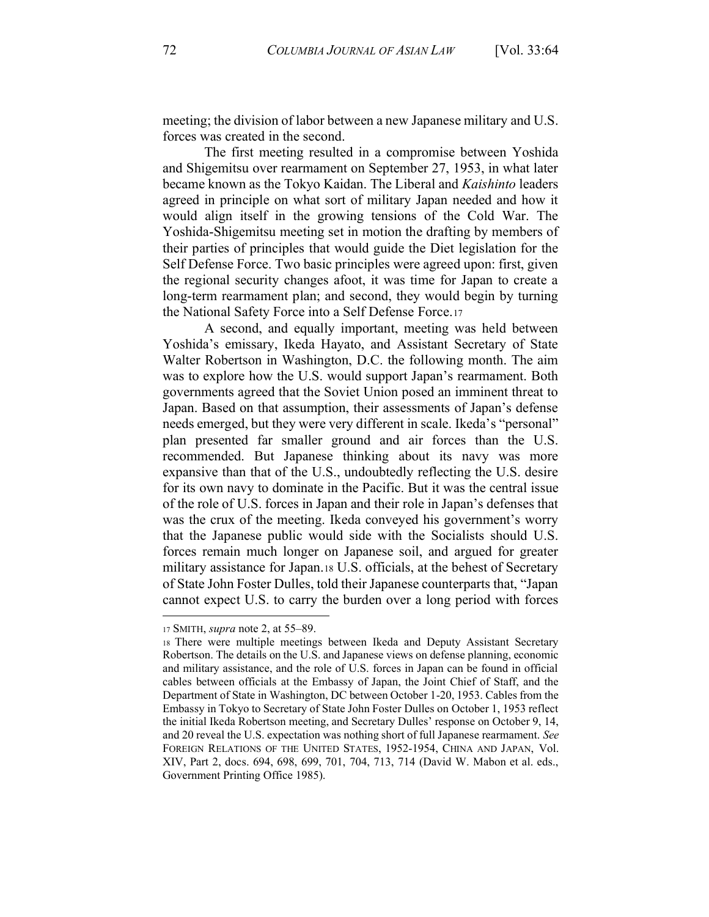meeting; the division of labor between a new Japanese military and U.S. forces was created in the second.

The first meeting resulted in a compromise between Yoshida and Shigemitsu over rearmament on September 27, 1953, in what later became known as the Tokyo Kaidan. The Liberal and *Kaishinto* leaders agreed in principle on what sort of military Japan needed and how it would align itself in the growing tensions of the Cold War. The Yoshida-Shigemitsu meeting set in motion the drafting by members of their parties of principles that would guide the Diet legislation for the Self Defense Force. Two basic principles were agreed upon: first, given the regional security changes afoot, it was time for Japan to create a long-term rearmament plan; and second, they would begin by turning the National Safety Force into a Self Defense Force.17

A second, and equally important, meeting was held between Yoshida's emissary, Ikeda Hayato, and Assistant Secretary of State Walter Robertson in Washington, D.C. the following month. The aim was to explore how the U.S. would support Japan's rearmament. Both governments agreed that the Soviet Union posed an imminent threat to Japan. Based on that assumption, their assessments of Japan's defense needs emerged, but they were very different in scale. Ikeda's "personal" plan presented far smaller ground and air forces than the U.S. recommended. But Japanese thinking about its navy was more expansive than that of the U.S., undoubtedly reflecting the U.S. desire for its own navy to dominate in the Pacific. But it was the central issue of the role of U.S. forces in Japan and their role in Japan's defenses that was the crux of the meeting. Ikeda conveyed his government's worry that the Japanese public would side with the Socialists should U.S. forces remain much longer on Japanese soil, and argued for greater military assistance for Japan.18 U.S. officials, at the behest of Secretary of State John Foster Dulles, told their Japanese counterparts that, "Japan cannot expect U.S. to carry the burden over a long period with forces

<sup>17</sup> SMITH, *supra* note 2, at 55-89.

<sup>18</sup> There were multiple meetings between Ikeda and Deputy Assistant Secretary Robertson. The details on the U.S. and Japanese views on defense planning, economic and military assistance, and the role of U.S. forces in Japan can be found in official cables between officials at the Embassy of Japan, the Joint Chief of Staff, and the Department of State in Washington, DC between October 1-20, 1953. Cables from the Embassy in Tokyo to Secretary of State John Foster Dulles on October 1, 1953 reflect the initial Ikeda Robertson meeting, and Secretary Dulles' response on October 9, 14, and 20 reveal the U.S. expectation was nothing short of full Japanese rearmament. *See* FOREIGN RELATIONS OF THE UNITED STATES, 1952-1954, CHINA AND JAPAN, Vol. XIV, Part 2, docs. 694, 698, 699, 701, 704, 713, 714 (David W. Mabon et al. eds., Government Printing Office 1985).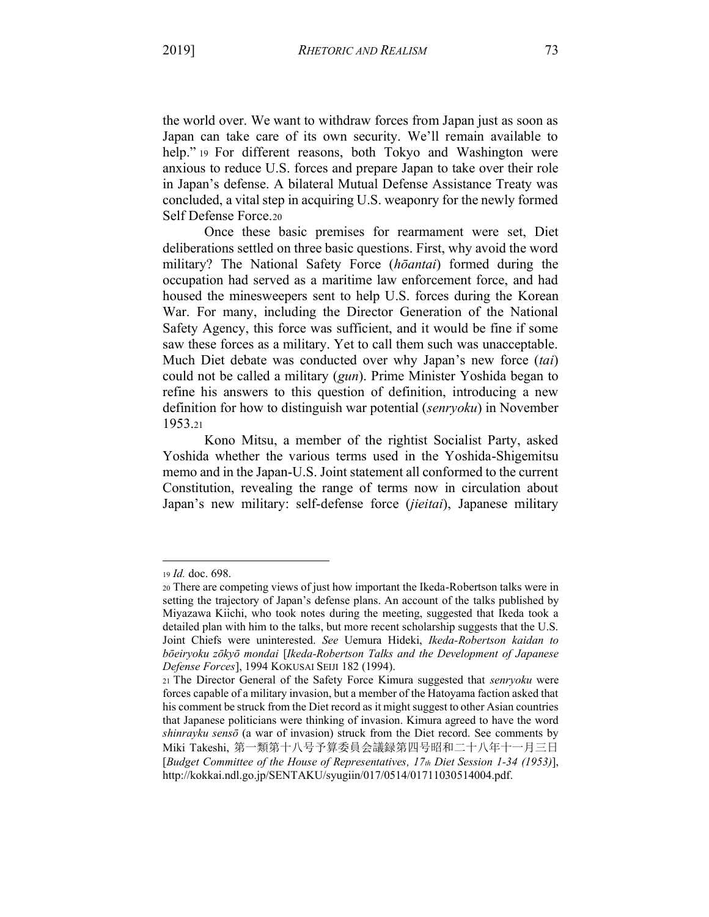the world over. We want to withdraw forces from Japan just as soon as Japan can take care of its own security. We'll remain available to help." 19 For different reasons, both Tokyo and Washington were anxious to reduce U.S. forces and prepare Japan to take over their role in Japan's defense. A bilateral Mutual Defense Assistance Treaty was concluded, a vital step in acquiring U.S. weaponry for the newly formed Self Defense Force.20

Once these basic premises for rearmament were set, Diet deliberations settled on three basic questions. First, why avoid the word military? The National Safety Force (*h*<sub>o</sub>antai) formed during the occupation had served as a maritime law enforcement force, and had housed the minesweepers sent to help U.S. forces during the Korean War. For many, including the Director Generation of the National Safety Agency, this force was sufficient, and it would be fine if some saw these forces as a military. Yet to call them such was unacceptable. Much Diet debate was conducted over why Japan's new force *(tai*) could not be called a military (*gun*). Prime Minister Yoshida began to refine his answers to this question of definition, introducing a new definition for how to distinguish war potential (*senryoku*) in November 1953.21

Kono Mitsu, a member of the rightist Socialist Party, asked Yoshida whether the various terms used in the Yoshida-Shigemitsu memo and in the Japan-U.S. Joint statement all conformed to the current Constitution, revealing the range of terms now in circulation about Japan's new military: self-defense force *(jieitai)*, Japanese military

<sup>19</sup> *Id.* doc. 698.

<sup>20</sup> There are competing views of just how important the Ikeda-Robertson talks were in setting the trajectory of Japan's defense plans. An account of the talks published by Miyazawa Kiichi, who took notes during the meeting, suggested that Ikeda took a detailed plan with him to the talks, but more recent scholarship suggests that the U.S. Joint Chiefs were uninterested. *See* Uemura Hideki, *Ikeda-Robertson kaidan to bǀeir\oku ]ǀk\ǀ mondai* [*Ikeda-Robertson Talks and the Development of Japanese Defense Forces*], 1994 KOKUSAI SEIJI 182 (1994).

<sup>21</sup> The Director General of the Safety Force Kimura suggested that *senryoku* were forces capable of a military invasion, but a member of the Hatoyama faction asked that his comment be struck from the Diet record as it might suggest to other Asian countries that Japanese politicians were thinking of invasion. Kimura agreed to have the word *shinrayku sensō* (a war of invasion) struck from the Diet record. See comments by Miki Takeshi, 第一類第十八号予算委員会議録第四号昭和二十八年十一月三日 [*Budget Committee of the House of Representatives, 17th Diet Session 1-34 (1953)*], http://kokkai.ndl.go.jp/SENTAKU/syugiin/017/0514/01711030514004.pdf.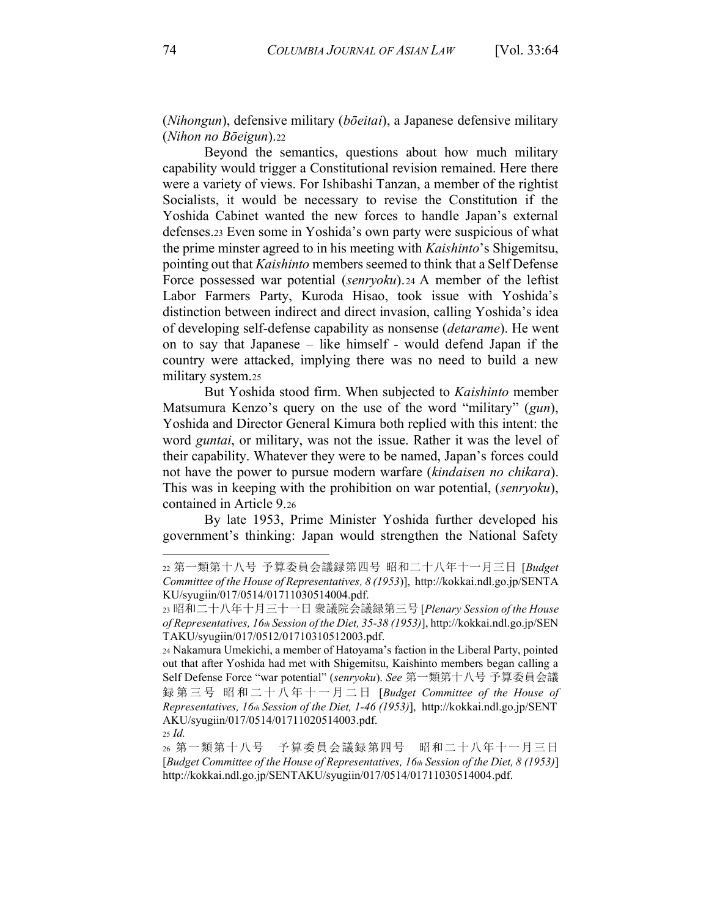(*Nihongun*), defensive military (*bǀeitai*), a Japanese defensive military (*Nihon no Bōeigun*).22

Beyond the semantics, questions about how much military capability would trigger a Constitutional revision remained. Here there were a variety of views. For Ishibashi Tanzan, a member of the rightist Socialists, it would be necessary to revise the Constitution if the Yoshida Cabinet wanted the new forces to handle Japan's external defenses.23 Even some in Yoshida's own party were suspicious of what the prime minster agreed to in his meeting with *Kaishinto*'s Shigemitsu, pointing out that *Kaishinto* members seemed to think that a Self Defense Force possessed war potential (*senryoku*). <sup>24</sup> A member of the leftist Labor Farmers Party, Kuroda Hisao, took issue with Yoshida's distinction between indirect and direct invasion, calling Yoshida's idea of developing self-defense capability as nonsense (*detarame*). He went on to say that Japanese  $-\,$  like himself  $-$  would defend Japan if the country were attacked, implying there was no need to build a new military system.25

But Yoshida stood firm. When subjected to *Kaishinto* member Matsumura Kenzo's query on the use of the word "military" (*gun*), Yoshida and Director General Kimura both replied with this intent: the word *guntai*, or military, was not the issue. Rather it was the level of their capability. Whatever they were to be named, Japan's forces could not have the power to pursue modern warfare (*kindaisen no chikara*). This was in keeping with the prohibition on war potential, (*senryoku*), contained in Article 9.26

By late 1953, Prime Minister Yoshida further developed his government's thinking: Japan would strengthen the National Safety

<sup>22</sup> 第一類第十八号 予算委員会議録第四号 昭和二十八年十一月三日 [Budget *Committee of the House of Representatives, 8 (1953*)], http://kokkai.ndl.go.jp/SENTA KU/syugiin/017/0514/01711030514004.pdf.

<sup>23</sup> ᱝ和二十八年十ᴸ三十一ᰕ 㹶䆠䲒会䆠䥢ㅜ三号 [*Plenary Session of the House of Representatives, 16th Session of the Diet, 35-38 (1953)*], http://kokkai.ndl.go.jp/SEN TAKU/syugiin/017/0512/01710310512003.pdf.

<sup>24</sup> Nakamura Umekichi, a member of Hatoyama's faction in the Liberal Party, pointed out that after Yoshida had met with Shigemitsu, Kaishinto members began calling a Self Defense Force "war potential" (senryoku). See 第一類第十八号 予算委員会議 䥢ㅜ三号 ᱝ和二十八年十一ᴸ二ᰕ [*Budget Committee of the House of Representatives, 16th Session of the Diet, 1-46 (1953)*], http://kokkai.ndl.go.jp/SENT AKU/syugiin/017/0514/01711020514003.pdf. <sup>25</sup> *Id.*

<sup>26</sup> 第一類第十八号 予算委員会議録第四号 昭和二十八年十一月三日 [*Budget Committee of the House of Representatives, 16th Session of the Diet, 8 (1953)*] http://kokkai.ndl.go.jp/SENTAKU/syugiin/017/0514/01711030514004.pdf.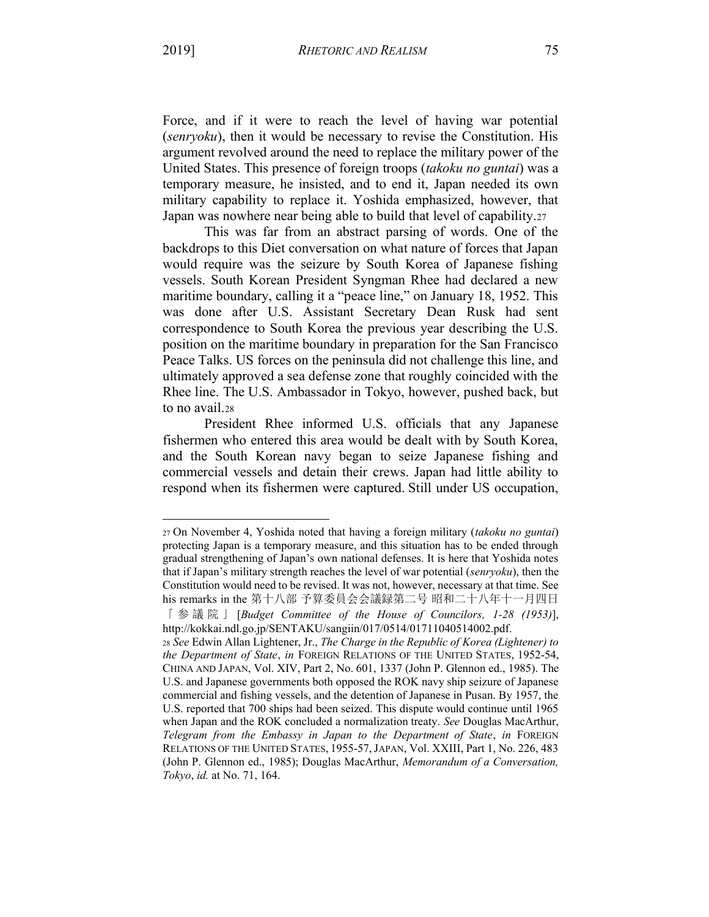Force, and if it were to reach the level of having war potential (*senryoku*), then it would be necessary to revise the Constitution. His argument revolved around the need to replace the military power of the United States. This presence of foreign troops (*takoku no guntai*) was a temporary measure, he insisted, and to end it, Japan needed its own military capability to replace it. Yoshida emphasized, however, that Japan was nowhere near being able to build that level of capability.27

This was far from an abstract parsing of words. One of the backdrops to this Diet conversation on what nature of forces that Japan would require was the seizure by South Korea of Japanese fishing vessels. South Korean President Syngman Rhee had declared a new maritime boundary, calling it a "peace line," on January 18, 1952. This was done after U.S. Assistant Secretary Dean Rusk had sent correspondence to South Korea the previous year describing the U.S. position on the maritime boundary in preparation for the San Francisco Peace Talks. US forces on the peninsula did not challenge this line, and ultimately approved a sea defense zone that roughly coincided with the Rhee line. The U.S. Ambassador in Tokyo, however, pushed back, but to no avail.28

President Rhee informed U.S. officials that any Japanese fishermen who entered this area would be dealt with by South Korea, and the South Korean navy began to seize Japanese fishing and commercial vessels and detain their crews. Japan had little ability to respond when its fishermen were captured. Still under US occupation,

<sup>27</sup> On November 4, Yoshida noted that having a foreign military (*takoku no guntai*) protecting Japan is a temporary measure, and this situation has to be ended through gradual strengthening of Japan's own national defenses. It is here that Yoshida notes that if Japan's military strength reaches the level of war potential (*senryoku*), then the Constitution would need to be revised. It was not, however, necessary at that time. See his remarks in the 第十八部 予算委員会会議録第二号 昭和二十八年十一月四日 「参䆠䲒」 [*Budget Committee of the House of Councilors, 1-28 (1953)*], http://kokkai.ndl.go.jp/SENTAKU/sangiin/017/0514/01711040514002.pdf.

<sup>28</sup> *See* Edwin Allan Lightener, Jr., *The Charge in the Republic of Korea (Lightener) to the Department of State*, *in* FOREIGN RELATIONS OF THE UNITED STATES, 1952-54, CHINA AND JAPAN, Vol. XIV, Part 2, No. 601, 1337 (John P. Glennon ed., 1985). The U.S. and Japanese governments both opposed the ROK navy ship seizure of Japanese commercial and fishing vessels, and the detention of Japanese in Pusan. By 1957, the U.S. reported that 700 ships had been seized. This dispute would continue until 1965 when Japan and the ROK concluded a normalization treaty. *See* Douglas MacArthur, *Telegram from the Embassy in Japan to the Department of State*, *in* FOREIGN RELATIONS OF THE UNITED STATES, 1955-57,JAPAN, Vol. XXIII, Part 1, No. 226, 483 (John P. Glennon ed., 1985); Douglas MacArthur, *Memorandum of a Conversation, Tokyo*, *id.* at No. 71, 164.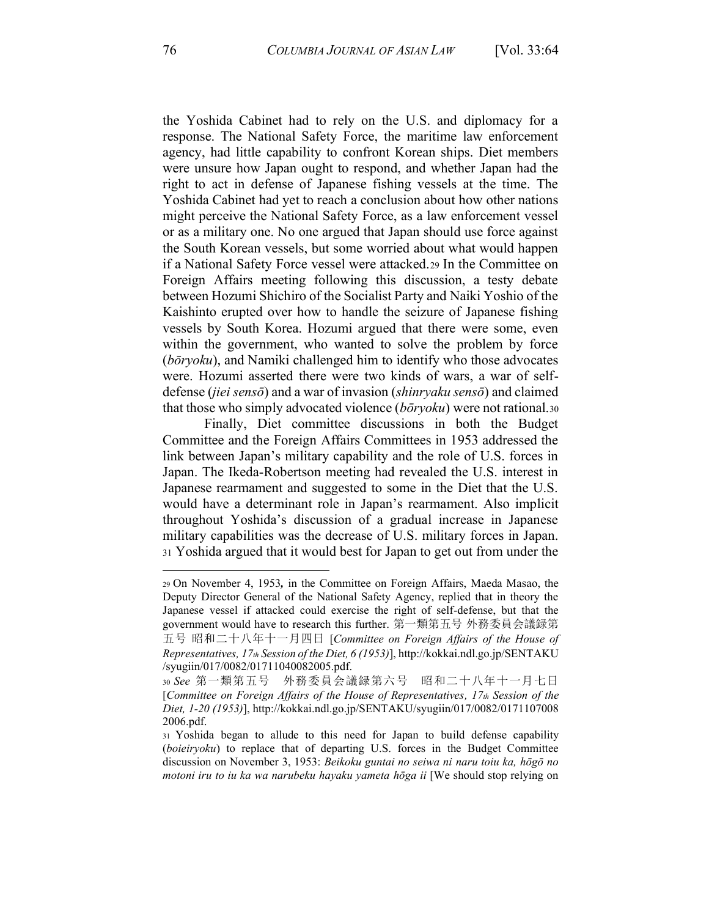the Yoshida Cabinet had to rely on the U.S. and diplomacy for a response. The National Safety Force, the maritime law enforcement agency, had little capability to confront Korean ships. Diet members were unsure how Japan ought to respond, and whether Japan had the right to act in defense of Japanese fishing vessels at the time. The Yoshida Cabinet had yet to reach a conclusion about how other nations might perceive the National Safety Force, as a law enforcement vessel or as a military one. No one argued that Japan should use force against the South Korean vessels, but some worried about what would happen if a National Safety Force vessel were attacked.29 In the Committee on Foreign Affairs meeting following this discussion, a testy debate between Hozumi Shichiro of the Socialist Party and Naiki Yoshio of the Kaishinto erupted over how to handle the seizure of Japanese fishing vessels by South Korea. Hozumi argued that there were some, even within the government, who wanted to solve the problem by force (*b* $\bar{p}$ *roku*), and Namiki challenged him to identify who those advocates were. Hozumi asserted there were two kinds of wars, a war of selfdefense *(jiei sensō)* and a war of invasion *(shinryaku sensō)* and claimed that those who simply advocated violence  $(b\bar{o}ryoku)$  were not rational.30

Finally, Diet committee discussions in both the Budget Committee and the Foreign Affairs Committees in 1953 addressed the link between Japan's military capability and the role of U.S. forces in Japan. The Ikeda-Robertson meeting had revealed the U.S. interest in Japanese rearmament and suggested to some in the Diet that the U.S. would have a determinant role in Japan's rearmament. Also implicit throughout Yoshida's discussion of a gradual increase in Japanese military capabilities was the decrease of U.S. military forces in Japan. <sup>31</sup> Yoshida argued that it would best for Japan to get out from under the

<sup>29</sup> On November 4, 1953*,* in the Committee on Foreign Affairs, Maeda Masao, the Deputy Director General of the National Safety Agency, replied that in theory the Japanese vessel if attacked could exercise the right of self-defense, but that the government would have to research this further. 第一類第五号 外務委員会議録第 五号 昭和二十八年十一月四日 [*Committee on Foreign Affairs of the House of Representatives, 17th Session of the Diet, 6 (1953)*], http://kokkai.ndl.go.jp/SENTAKU /syugiin/017/0082/01711040082005.pdf.

<sup>30</sup> See 第一類第五号 外務委員会議録第六号 昭和二十八年十一月七日 [*Committee on Foreign Affairs of the House of Representatives, 17th Session of the Diet, 1-20 (1953)*], http://kokkai.ndl.go.jp/SENTAKU/syugiin/017/0082/0171107008 2006.pdf.

<sup>31</sup> Yoshida began to allude to this need for Japan to build defense capability (*boieiryoku*) to replace that of departing U.S. forces in the Budget Committee discussion on November 3, 1953: Beikoku guntai no seiwa ni naru toiu ka, hōgō no *motoni iru to iu ka wa narubeku hayaku yameta hōga ii* [We should stop relying on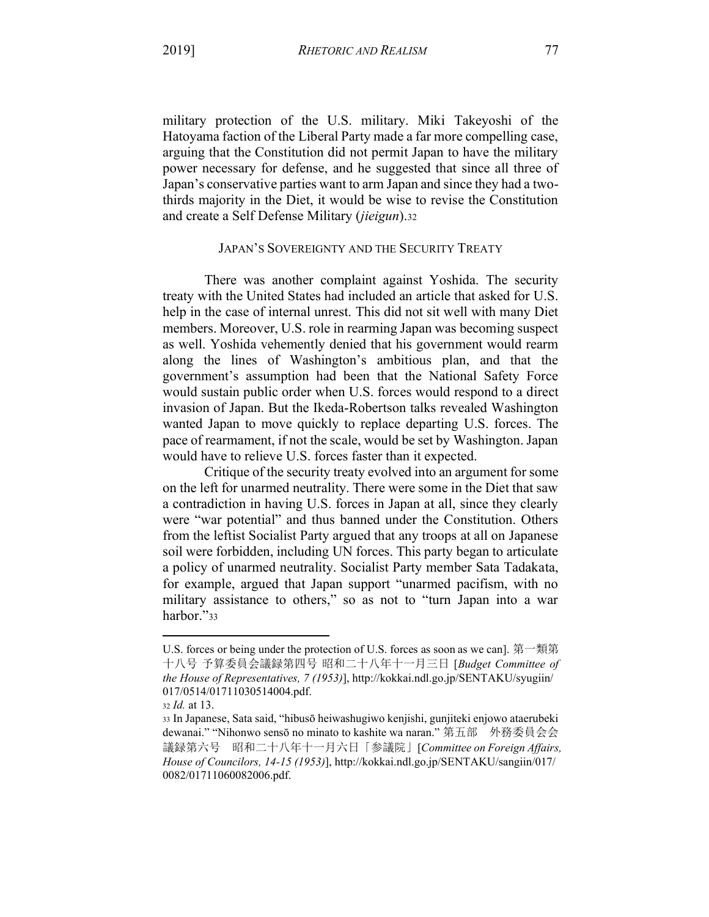military protection of the U.S. military. Miki Takeyoshi of the Hatoyama faction of the Liberal Party made a far more compelling case, arguing that the Constitution did not permit Japan to have the military power necessary for defense, and he suggested that since all three of Japan's conservative parties want to arm Japan and since they had a twothirds majority in the Diet, it would be wise to revise the Constitution and create a Self Defense Military (*jieigun*).32

#### JAPAN'S SOVEREIGNTY AND THE SECURITY TREATY

There was another complaint against Yoshida. The security treaty with the United States had included an article that asked for U.S. help in the case of internal unrest. This did not sit well with many Diet members. Moreover, U.S. role in rearming Japan was becoming suspect as well. Yoshida vehemently denied that his government would rearm along the lines of Washington's ambitious plan, and that the government's assumption had been that the National Safety Force would sustain public order when U.S. forces would respond to a direct invasion of Japan. But the Ikeda-Robertson talks revealed Washington wanted Japan to move quickly to replace departing U.S. forces. The pace of rearmament, if not the scale, would be set by Washington. Japan would have to relieve U.S. forces faster than it expected.

Critique of the security treaty evolved into an argument for some on the left for unarmed neutrality. There were some in the Diet that saw a contradiction in having U.S. forces in Japan at all, since they clearly were "war potential" and thus banned under the Constitution. Others from the leftist Socialist Party argued that any troops at all on Japanese soil were forbidden, including UN forces. This party began to articulate a policy of unarmed neutrality. Socialist Party member Sata Tadakata, for example, argued that Japan support "unarmed pacifism, with no military assistance to others," so as not to "turn Japan into a war harbor."33

U.S. forces or being under the protection of U.S. forces as soon as we can]. 第一類第 十八号 予算委員会議録第四号 昭和二十八年十一月三日 [Budget Committee of *the House of Representatives, 7 (1953)*], http://kokkai.ndl.go.jp/SENTAKU/syugiin/ 017/0514/01711030514004.pdf.

<sup>32</sup> *Id.* at 13.

<sup>33</sup> In Japanese, Sata said, "hibusō heiwashugiwo kenjishi, gunjiteki enjowo ataerubeki dewanai." "Nihonwo sensō no minato to kashite wa naran." 第五部 外務委員会会 議録第六号 昭和二十八年十一月六日「参議院」[Committee on Foreign Affairs, *House of Councilors, 14-15 (1953)*], http://kokkai.ndl.go.jp/SENTAKU/sangiin/017/ 0082/01711060082006.pdf.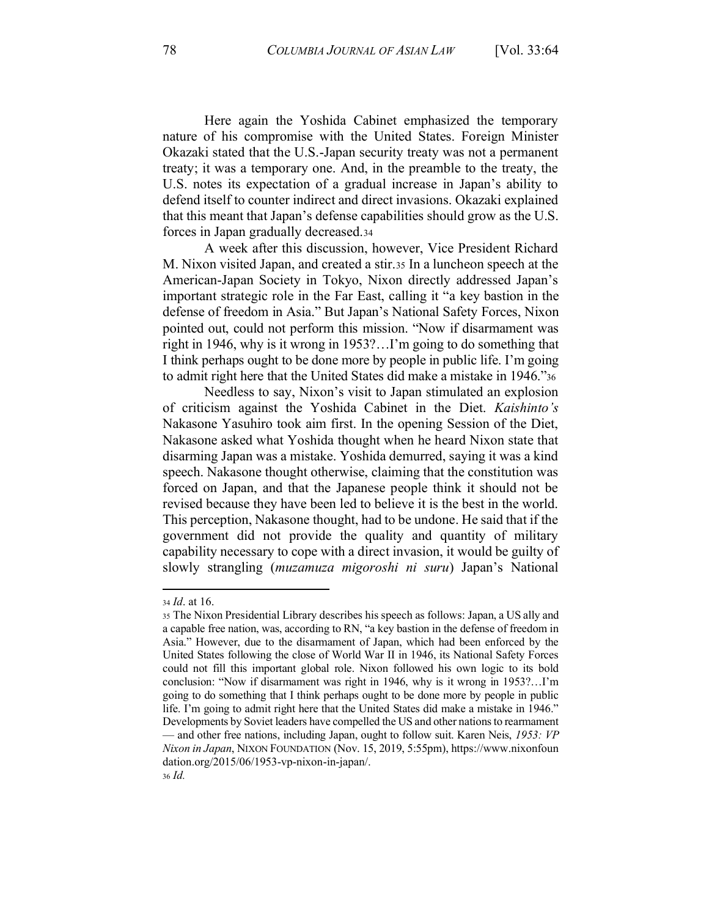Here again the Yoshida Cabinet emphasized the temporary nature of his compromise with the United States. Foreign Minister Okazaki stated that the U.S.-Japan security treaty was not a permanent treaty; it was a temporary one. And, in the preamble to the treaty, the U.S. notes its expectation of a gradual increase in Japan's ability to defend itself to counter indirect and direct invasions. Okazaki explained that this meant that Japan's defense capabilities should grow as the U.S. forces in Japan gradually decreased.34

A week after this discussion, however, Vice President Richard M. Nixon visited Japan, and created a stir.35 In a luncheon speech at the American-Japan Society in Tokyo, Nixon directly addressed Japan's important strategic role in the Far East, calling it "a key bastion in the defense of freedom in Asia." But Japan's National Safety Forces, Nixon pointed out, could not perform this mission. "Now if disarmament was right in 1946, why is it wrong in 1953?...I'm going to do something that I think perhaps ought to be done more by people in public life. I'm going to admit right here that the United States did make a mistake in 1946.<sup>736</sup>

Needless to say, Nixon's visit to Japan stimulated an explosion of criticism against the Yoshida Cabinet in the Diet. *Kaishinto's* Nakasone Yasuhiro took aim first. In the opening Session of the Diet, Nakasone asked what Yoshida thought when he heard Nixon state that disarming Japan was a mistake. Yoshida demurred, saying it was a kind speech. Nakasone thought otherwise, claiming that the constitution was forced on Japan, and that the Japanese people think it should not be revised because they have been led to believe it is the best in the world. This perception, Nakasone thought, had to be undone. He said that if the government did not provide the quality and quantity of military capability necessary to cope with a direct invasion, it would be guilty of slowly strangling (*muzamuza migoroshi ni suru*) Japan's National

<sup>34</sup> *Id*. at 16.

<sup>35</sup> The Nixon Presidential Library describes his speech as follows: Japan, a US ally and a capable free nation, was, according to RN, "a key bastion in the defense of freedom in Asia." However, due to the disarmament of Japan, which had been enforced by the United States following the close of World War II in 1946, its National Safety Forces could not fill this important global role. Nixon followed his own logic to its bold conclusion: "Now if disarmament was right in 1946, why is it wrong in 1953?...I'm going to do something that I think perhaps ought to be done more by people in public life. I'm going to admit right here that the United States did make a mistake in 1946.<sup>\*</sup> Developments by Soviet leaders have compelled the US and other nations to rearmament — and other free nations, including Japan, ought to follow suit. Karen Neis, 1953: VP *Nixon in Japan*, NIXON FOUNDATION (Nov. 15, 2019, 5:55pm), https://www.nixonfoun dation.org/2015/06/1953-vp-nixon-in-japan/. <sup>36</sup> *Id.*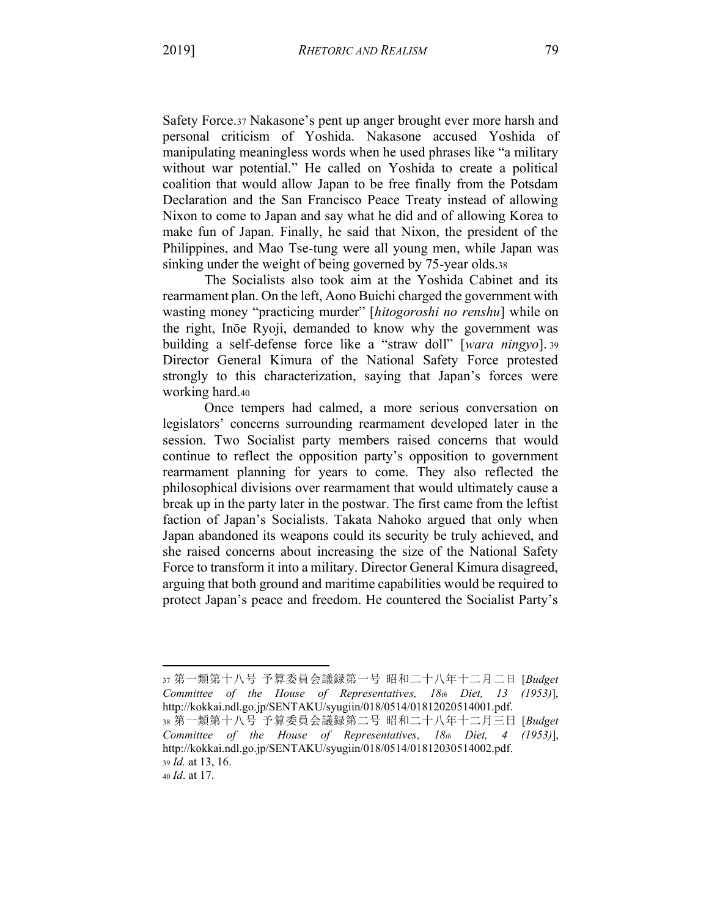Safety Force.37 Nakasone's pent up anger brought ever more harsh and personal criticism of Yoshida. Nakasone accused Yoshida of manipulating meaningless words when he used phrases like "a military without war potential." He called on Yoshida to create a political coalition that would allow Japan to be free finally from the Potsdam Declaration and the San Francisco Peace Treaty instead of allowing Nixon to come to Japan and say what he did and of allowing Korea to make fun of Japan. Finally, he said that Nixon, the president of the Philippines, and Mao Tse-tung were all young men, while Japan was sinking under the weight of being governed by 75-year olds.38

The Socialists also took aim at the Yoshida Cabinet and its rearmament plan. On the left, Aono Buichi charged the government with wasting money "practicing murder" [*hitogoroshi no renshu*] while on the right, Inōe Ryoji, demanded to know why the government was building a self-defense force like a "straw doll" [*wara ningyo*]. 39 Director General Kimura of the National Safety Force protested strongly to this characterization, saying that Japan's forces were working hard.40

Once tempers had calmed, a more serious conversation on legislators' concerns surrounding rearmament developed later in the session. Two Socialist party members raised concerns that would continue to reflect the opposition party's opposition to government rearmament planning for years to come. They also reflected the philosophical divisions over rearmament that would ultimately cause a break up in the party later in the postwar. The first came from the leftist faction of Japan's Socialists. Takata Nahoko argued that only when Japan abandoned its weapons could its security be truly achieved, and she raised concerns about increasing the size of the National Safety Force to transform it into a military. Director General Kimura disagreed, arguing that both ground and maritime capabilities would be required to protect Japan's peace and freedom. He countered the Socialist Party's

<sup>37</sup> 第一類第十八号 予算委員会議録第一号 昭和二十八年十二月二日 [Budget *Committee of the House of Representatives, 18th Diet, 13 (1953)*], http://kokkai.ndl.go.jp/SENTAKU/syugiin/018/0514/01812020514001.pdf.

<sup>38</sup> 第一類第十八号 予算委員会議録第二号 昭和二十八年十二月三日 [Budget *Committee of the House of Representatives, 18th Diet, 4 (1953)*], http://kokkai.ndl.go.jp/SENTAKU/syugiin/018/0514/01812030514002.pdf. <sup>39</sup> *Id.* at 13, 16.

<sup>40</sup> *Id*. at 17.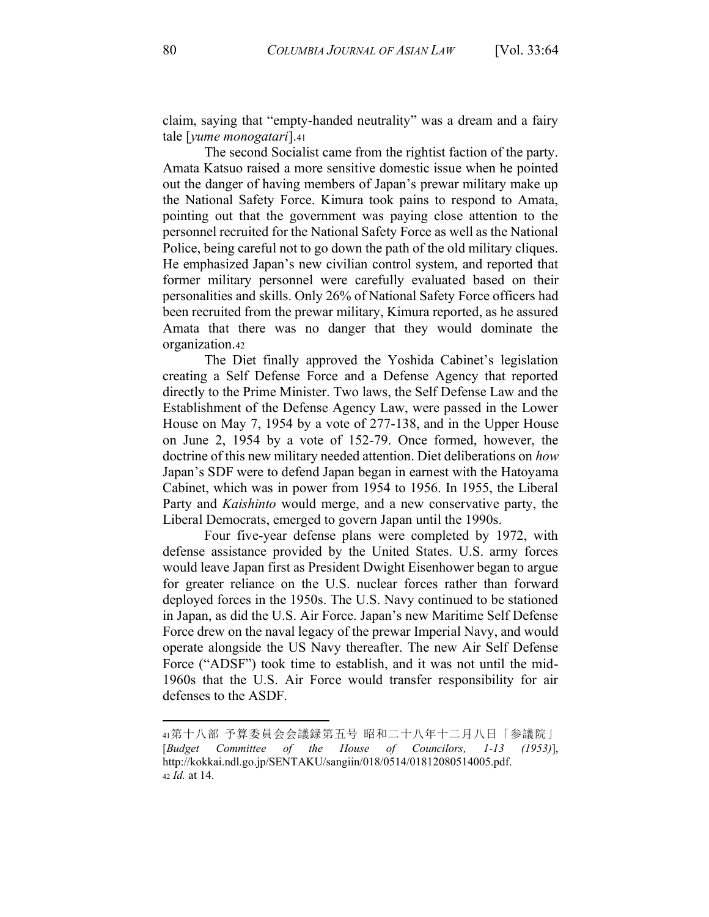claim, saying that "empty-handed neutrality" was a dream and a fairy tale [*yume monogatari*].41

The second Socialist came from the rightist faction of the party. Amata Katsuo raised a more sensitive domestic issue when he pointed out the danger of having members of Japan's prewar military make up the National Safety Force. Kimura took pains to respond to Amata, pointing out that the government was paying close attention to the personnel recruited for the National Safety Force as well as the National Police, being careful not to go down the path of the old military cliques. He emphasized Japan's new civilian control system, and reported that former military personnel were carefully evaluated based on their personalities and skills. Only 26% of National Safety Force officers had been recruited from the prewar military, Kimura reported, as he assured Amata that there was no danger that they would dominate the organization.42

The Diet finally approved the Yoshida Cabinet's legislation creating a Self Defense Force and a Defense Agency that reported directly to the Prime Minister. Two laws, the Self Defense Law and the Establishment of the Defense Agency Law, were passed in the Lower House on May 7, 1954 by a vote of 277-138, and in the Upper House on June 2, 1954 by a vote of 152-79. Once formed, however, the doctrine of this new military needed attention. Diet deliberations on *how* Japan's SDF were to defend Japan began in earnest with the Hatoyama Cabinet, which was in power from 1954 to 1956. In 1955, the Liberal Party and *Kaishinto* would merge, and a new conservative party, the Liberal Democrats, emerged to govern Japan until the 1990s.

Four five-year defense plans were completed by 1972, with defense assistance provided by the United States. U.S. army forces would leave Japan first as President Dwight Eisenhower began to argue for greater reliance on the U.S. nuclear forces rather than forward deployed forces in the 1950s. The U.S. Navy continued to be stationed in Japan, as did the U.S. Air Force. Japan's new Maritime Self Defense Force drew on the naval legacy of the prewar Imperial Navy, and would operate alongside the US Navy thereafter. The new Air Self Defense Force ("ADSF") took time to establish, and it was not until the mid-1960s that the U.S. Air Force would transfer responsibility for air defenses to the ASDF.

<sup>41</sup>第十八部 予算委員会会議録第五号 昭和二十八年十二月八日「参議院」 [*Budget Committee of the House of Councilors, 1-13 (1953)*], http://kokkai.ndl.go.jp/SENTAKU/sangiin/018/0514/01812080514005.pdf. <sup>42</sup> *Id.* at 14.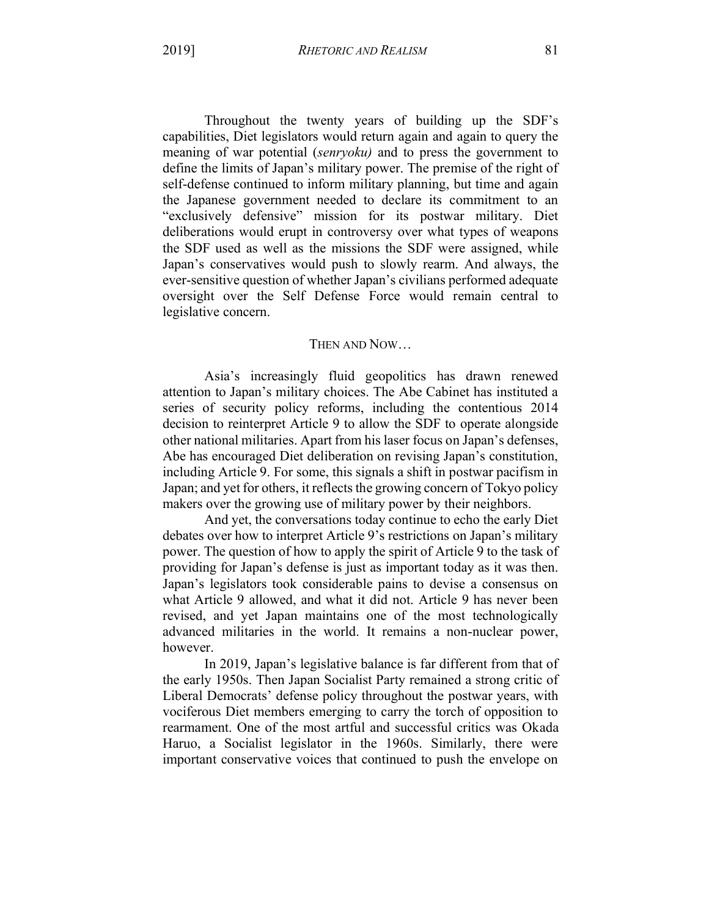Throughout the twenty years of building up the SDF's capabilities, Diet legislators would return again and again to query the meaning of war potential (*senryoku)* and to press the government to define the limits of Japan's military power. The premise of the right of self-defense continued to inform military planning, but time and again the Japanese government needed to declare its commitment to an "exclusively defensive" mission for its postwar military. Diet deliberations would erupt in controversy over what types of weapons the SDF used as well as the missions the SDF were assigned, while Japan's conservatives would push to slowly rearm. And always, the ever-sensitive question of whether Japan's civilians performed adequate oversight over the Self Defense Force would remain central to legislative concern.

## THEN AND NOW...

Asia's increasingly fluid geopolitics has drawn renewed attention to Japan's military choices. The Abe Cabinet has instituted a series of security policy reforms, including the contentious 2014 decision to reinterpret Article 9 to allow the SDF to operate alongside other national militaries. Apart from his laser focus on Japan's defenses, Abe has encouraged Diet deliberation on revising Japan's constitution, including Article 9. For some, this signals a shift in postwar pacifism in Japan; and yet for others, it reflects the growing concern of Tokyo policy makers over the growing use of military power by their neighbors.

And yet, the conversations today continue to echo the early Diet debates over how to interpret Article 9's restrictions on Japan's military power. The question of how to apply the spirit of Article 9 to the task of providing for Japan's defense is just as important today as it was then. Japan's legislators took considerable pains to devise a consensus on what Article 9 allowed, and what it did not. Article 9 has never been revised, and yet Japan maintains one of the most technologically advanced militaries in the world. It remains a non-nuclear power, however.

In 2019, Japan's legislative balance is far different from that of the early 1950s. Then Japan Socialist Party remained a strong critic of Liberal Democrats' defense policy throughout the postwar years, with vociferous Diet members emerging to carry the torch of opposition to rearmament. One of the most artful and successful critics was Okada Haruo, a Socialist legislator in the 1960s. Similarly, there were important conservative voices that continued to push the envelope on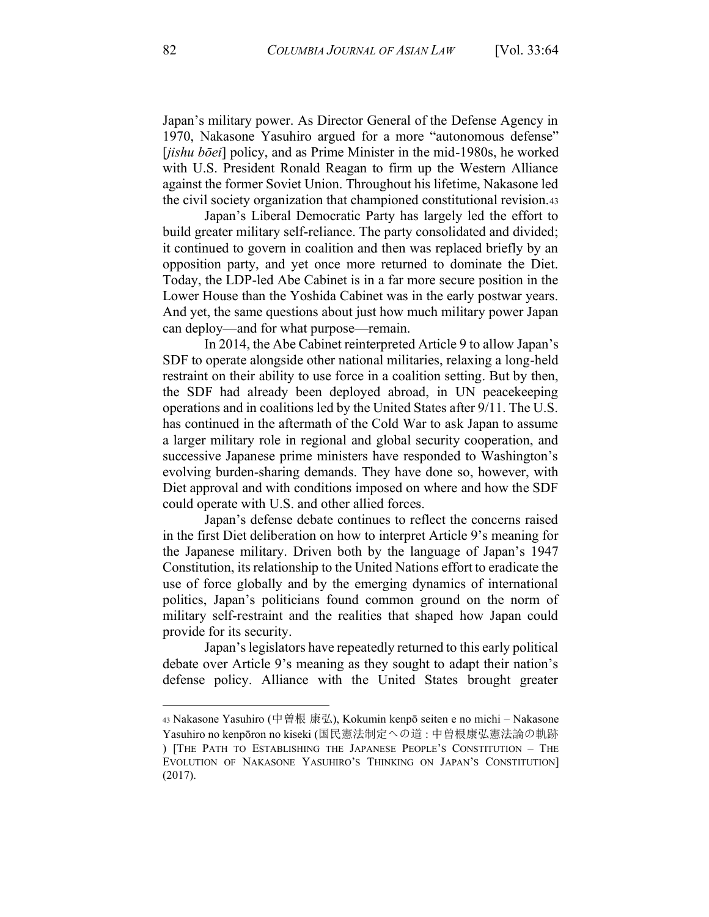Japan's military power. As Director General of the Defense Agency in 1970, Nakasone Yasuhiro argued for a more "autonomous defense" [*jishu bōei*] policy, and as Prime Minister in the mid-1980s, he worked with U.S. President Ronald Reagan to firm up the Western Alliance against the former Soviet Union. Throughout his lifetime, Nakasone led the civil society organization that championed constitutional revision.43

Japan's Liberal Democratic Party has largely led the effort to build greater military self-reliance. The party consolidated and divided; it continued to govern in coalition and then was replaced briefly by an opposition party, and yet once more returned to dominate the Diet. Today, the LDP-led Abe Cabinet is in a far more secure position in the Lower House than the Yoshida Cabinet was in the early postwar years. And yet, the same questions about just how much military power Japan can deploy—and for what purpose—remain.

In 2014, the Abe Cabinet reinterpreted Article 9 to allow Japan's SDF to operate alongside other national militaries, relaxing a long-held restraint on their ability to use force in a coalition setting. But by then, the SDF had already been deployed abroad, in UN peacekeeping operations and in coalitions led by the United States after 9/11. The U.S. has continued in the aftermath of the Cold War to ask Japan to assume a larger military role in regional and global security cooperation, and successive Japanese prime ministers have responded to Washington's evolving burden-sharing demands. They have done so, however, with Diet approval and with conditions imposed on where and how the SDF could operate with U.S. and other allied forces.

Japan's defense debate continues to reflect the concerns raised in the first Diet deliberation on how to interpret Article 9's meaning for the Japanese military. Driven both by the language of Japan's 1947 Constitution, its relationship to the United Nations effort to eradicate the use of force globally and by the emerging dynamics of international politics, Japan's politicians found common ground on the norm of military self-restraint and the realities that shaped how Japan could provide for its security.

Japan's legislators have repeatedly returned to this early political debate over Article 9's meaning as they sought to adapt their nation's defense policy. Alliance with the United States brought greater

<sup>43</sup> Nakasone Yasuhiro (中曽根 康弘), Kokumin kenpō seiten e no michi – Nakasone Yasuhiro no kenpōron no kiseki (国民憲法制定への道 : 中曽根康弘憲法論の軌跡 ) [THE PATH TO ESTABLISHING THE JAPANESE PEOPLE'S CONSTITUTION - THE EVOLUTION OF NAKASONE YASUHIRO'S THINKING ON JAPAN'S CONSTITUTION] (2017).